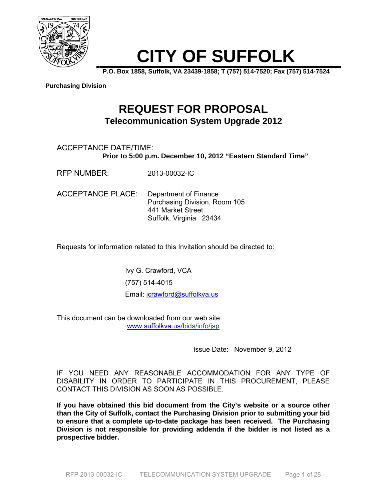

# **CITY OF SUFFOLK**

**P.O. Box 1858, Suffolk, VA 23439-1858; T (757) 514-7520; Fax (757) 514-7524** 

**Purchasing Division**

## **REQUEST FOR PROPOSAL Telecommunication System Upgrade 2012**

#### ACCEPTANCE DATE/TIME: **Prior to 5:00 p.m. December 10, 2012 "Eastern Standard Time"**

RFP NUMBER: 2013-00032-IC

ACCEPTANCE PLACE: Department of Finance Purchasing Division, Room 105 441 Market Street Suffolk, Virginia 23434

Requests for information related to this Invitation should be directed to:

Ivy G. Crawford, VCA (757) 514-4015 Email: icrawford@suffolkva.us

This document can be downloaded from our web site: www.suffolkva.us/bids/info/jsp

Issue Date: November 9, 2012

IF YOU NEED ANY REASONABLE ACCOMMODATION FOR ANY TYPE OF DISABILITY IN ORDER TO PARTICIPATE IN THIS PROCUREMENT, PLEASE CONTACT THIS DIVISION AS SOON AS POSSIBLE.

**If you have obtained this bid document from the City's website or a source other than the City of Suffolk, contact the Purchasing Division prior to submitting your bid to ensure that a complete up-to-date package has been received. The Purchasing Division is not responsible for providing addenda if the bidder is not listed as a prospective bidder.**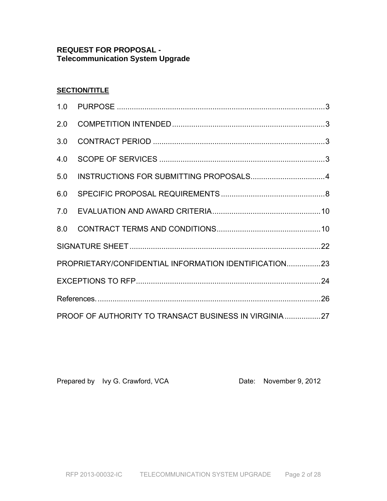### **REQUEST FOR PROPOSAL - Telecommunication System Upgrade**

### **SECTION/TITLE**

| PROPRIETARY/CONFIDENTIAL INFORMATION IDENTIFICATION23 |  |  |  |
|-------------------------------------------------------|--|--|--|
|                                                       |  |  |  |
|                                                       |  |  |  |
| PROOF OF AUTHORITY TO TRANSACT BUSINESS IN VIRGINIA27 |  |  |  |

Prepared by Ivy G. Crawford, VCA Date: November 9, 2012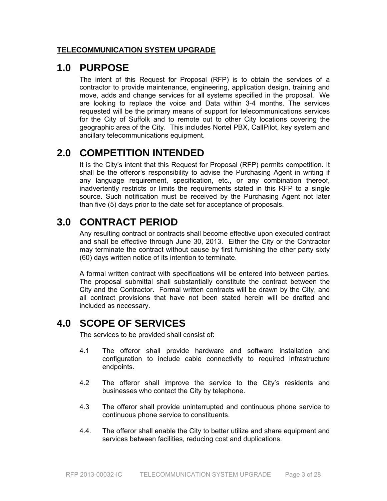#### **TELECOMMUNICATION SYSTEM UPGRADE**

### **1.0 PURPOSE**

The intent of this Request for Proposal (RFP) is to obtain the services of a contractor to provide maintenance, engineering, application design, training and move, adds and change services for all systems specified in the proposal. We are looking to replace the voice and Data within 3-4 months. The services requested will be the primary means of support for telecommunications services for the City of Suffolk and to remote out to other City locations covering the geographic area of the City. This includes Nortel PBX, CallPilot, key system and ancillary telecommunications equipment.

# **2.0 COMPETITION INTENDED**

It is the City's intent that this Request for Proposal (RFP) permits competition. It shall be the offeror's responsibility to advise the Purchasing Agent in writing if any language requirement, specification, etc., or any combination thereof, inadvertently restricts or limits the requirements stated in this RFP to a single source. Such notification must be received by the Purchasing Agent not later than five (5) days prior to the date set for acceptance of proposals.

# **3.0 CONTRACT PERIOD**

Any resulting contract or contracts shall become effective upon executed contract and shall be effective through June 30, 2013. Either the City or the Contractor may terminate the contract without cause by first furnishing the other party sixty (60) days written notice of its intention to terminate.

A formal written contract with specifications will be entered into between parties. The proposal submittal shall substantially constitute the contract between the City and the Contractor. Formal written contracts will be drawn by the City, and all contract provisions that have not been stated herein will be drafted and included as necessary.

## **4.0 SCOPE OF SERVICES**

The services to be provided shall consist of:

- 4.1 The offeror shall provide hardware and software installation and configuration to include cable connectivity to required infrastructure endpoints.
- 4.2 The offeror shall improve the service to the City's residents and businesses who contact the City by telephone.
- 4.3 The offeror shall provide uninterrupted and continuous phone service to continuous phone service to constituents.
- 4.4. The offeror shall enable the City to better utilize and share equipment and services between facilities, reducing cost and duplications.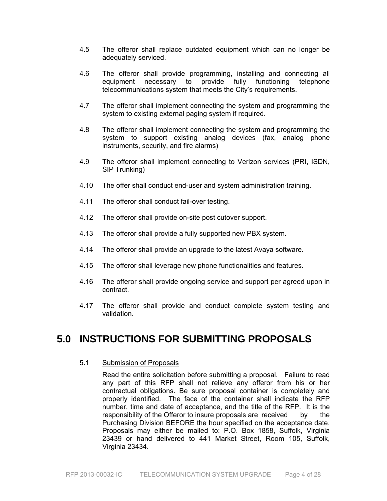- 4.5 The offeror shall replace outdated equipment which can no longer be adequately serviced.
- 4.6 The offeror shall provide programming, installing and connecting all equipment necessary to provide fully functioning telephone telecommunications system that meets the City's requirements.
- 4.7 The offeror shall implement connecting the system and programming the system to existing external paging system if required.
- 4.8 The offeror shall implement connecting the system and programming the system to support existing analog devices (fax, analog phone instruments, security, and fire alarms)
- 4.9 The offeror shall implement connecting to Verizon services (PRI, ISDN, SIP Trunking)
- 4.10 The offer shall conduct end-user and system administration training.
- 4.11 The offeror shall conduct fail-over testing.
- 4.12 The offeror shall provide on-site post cutover support.
- 4.13 The offeror shall provide a fully supported new PBX system.
- 4.14 The offeror shall provide an upgrade to the latest Avaya software.
- 4.15 The offeror shall leverage new phone functionalities and features.
- 4.16 The offeror shall provide ongoing service and support per agreed upon in contract.
- 4.17 The offeror shall provide and conduct complete system testing and validation.

### **5.0 INSTRUCTIONS FOR SUBMITTING PROPOSALS**

#### 5.1 Submission of Proposals

 Read the entire solicitation before submitting a proposal. Failure to read any part of this RFP shall not relieve any offeror from his or her contractual obligations. Be sure proposal container is completely and properly identified. The face of the container shall indicate the RFP number, time and date of acceptance, and the title of the RFP. It is the responsibility of the Offeror to insure proposals are received by the Purchasing Division BEFORE the hour specified on the acceptance date. Proposals may either be mailed to: P.O. Box 1858, Suffolk, Virginia 23439 or hand delivered to 441 Market Street, Room 105, Suffolk, Virginia 23434.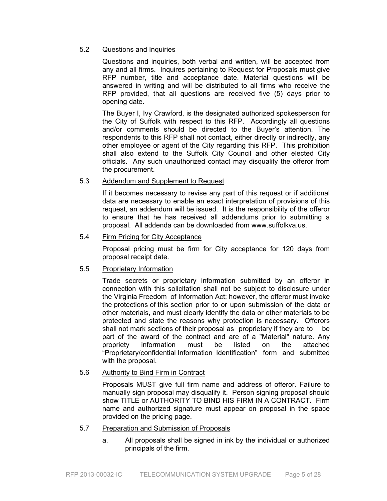#### 5.2 Questions and Inquiries

 Questions and inquiries, both verbal and written, will be accepted from any and all firms. Inquires pertaining to Request for Proposals must give RFP number, title and acceptance date. Material questions will be answered in writing and will be distributed to all firms who receive the RFP provided, that all questions are received five (5) days prior to opening date.

 The Buyer I, Ivy Crawford, is the designated authorized spokesperson for the City of Suffolk with respect to this RFP. Accordingly all questions and/or comments should be directed to the Buyer's attention. The respondents to this RFP shall not contact, either directly or indirectly, any other employee or agent of the City regarding this RFP. This prohibition shall also extend to the Suffolk City Council and other elected City officials. Any such unauthorized contact may disqualify the offeror from the procurement.

#### 5.3 Addendum and Supplement to Request

 If it becomes necessary to revise any part of this request or if additional data are necessary to enable an exact interpretation of provisions of this request, an addendum will be issued. It is the responsibility of the offeror to ensure that he has received all addendums prior to submitting a proposal. All addenda can be downloaded from www.suffolkva.us.

#### 5.4 Firm Pricing for City Acceptance

 Proposal pricing must be firm for City acceptance for 120 days from proposal receipt date.

#### 5.5 Proprietary Information

 Trade secrets or proprietary information submitted by an offeror in connection with this solicitation shall not be subject to disclosure under the Virginia Freedom of Information Act; however, the offeror must invoke the protections of this section prior to or upon submission of the data or other materials, and must clearly identify the data or other materials to be protected and state the reasons why protection is necessary. Offerors shall not mark sections of their proposal as proprietary if they are to be part of the award of the contract and are of a "Material" nature. Any propriety information must be listed on the attached "Proprietary/confidential Information Identification" form and submitted with the proposal.

#### 5.6 Authority to Bind Firm in Contract

 Proposals MUST give full firm name and address of offeror. Failure to manually sign proposal may disqualify it. Person signing proposal should show TITLE or AUTHORITY TO BIND HIS FIRM IN A CONTRACT. Firm name and authorized signature must appear on proposal in the space provided on the pricing page.

- 5.7 Preparation and Submission of Proposals
	- a. All proposals shall be signed in ink by the individual or authorized principals of the firm.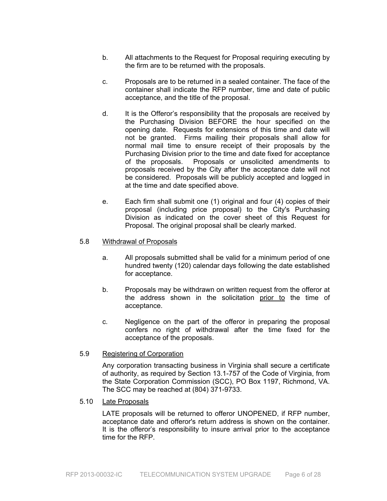- b. All attachments to the Request for Proposal requiring executing by the firm are to be returned with the proposals.
- c. Proposals are to be returned in a sealed container. The face of the container shall indicate the RFP number, time and date of public acceptance, and the title of the proposal.
- d. It is the Offeror's responsibility that the proposals are received by the Purchasing Division BEFORE the hour specified on the opening date. Requests for extensions of this time and date will not be granted. Firms mailing their proposals shall allow for normal mail time to ensure receipt of their proposals by the Purchasing Division prior to the time and date fixed for acceptance of the proposals. Proposals or unsolicited amendments to proposals received by the City after the acceptance date will not be considered. Proposals will be publicly accepted and logged in at the time and date specified above.
- e. Each firm shall submit one (1) original and four (4) copies of their proposal (including price proposal) to the City's Purchasing Division as indicated on the cover sheet of this Request for Proposal. The original proposal shall be clearly marked.

#### 5.8 Withdrawal of Proposals

- a. All proposals submitted shall be valid for a minimum period of one hundred twenty (120) calendar days following the date established for acceptance.
- b. Proposals may be withdrawn on written request from the offeror at the address shown in the solicitation prior to the time of acceptance.
- c. Negligence on the part of the offeror in preparing the proposal confers no right of withdrawal after the time fixed for the acceptance of the proposals.
- 5.9 Registering of Corporation

 Any corporation transacting business in Virginia shall secure a certificate of authority, as required by Section 13.1-757 of the Code of Virginia, from the State Corporation Commission (SCC), PO Box 1197, Richmond, VA. The SCC may be reached at (804) 371-9733.

5.10 Late Proposals

LATE proposals will be returned to offeror UNOPENED, if RFP number, acceptance date and offeror's return address is shown on the container. It is the offeror's responsibility to insure arrival prior to the acceptance time for the RFP.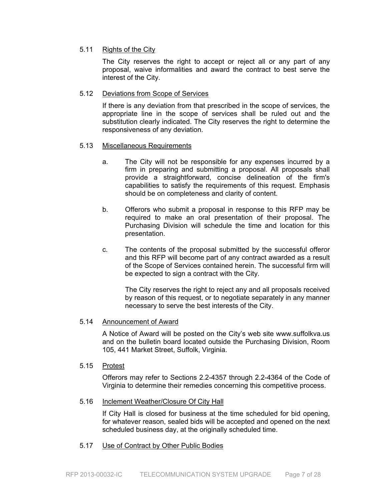#### 5.11 Rights of the City

 The City reserves the right to accept or reject all or any part of any proposal, waive informalities and award the contract to best serve the interest of the City.

#### 5.12 Deviations from Scope of Services

If there is any deviation from that prescribed in the scope of services, the appropriate line in the scope of services shall be ruled out and the substitution clearly indicated. The City reserves the right to determine the responsiveness of any deviation.

#### 5.13 Miscellaneous Requirements

- a. The City will not be responsible for any expenses incurred by a firm in preparing and submitting a proposal. All proposals shall provide a straightforward, concise delineation of the firm's capabilities to satisfy the requirements of this request. Emphasis should be on completeness and clarity of content.
- b. Offerors who submit a proposal in response to this RFP may be required to make an oral presentation of their proposal. The Purchasing Division will schedule the time and location for this presentation.
- c. The contents of the proposal submitted by the successful offeror and this RFP will become part of any contract awarded as a result of the Scope of Services contained herein. The successful firm will be expected to sign a contract with the City.

 The City reserves the right to reject any and all proposals received by reason of this request, or to negotiate separately in any manner necessary to serve the best interests of the City.

#### 5.14 Announcement of Award

 A Notice of Award will be posted on the City's web site www.suffolkva.us and on the bulletin board located outside the Purchasing Division, Room 105, 441 Market Street, Suffolk, Virginia.

#### 5.15 Protest

 Offerors may refer to Sections 2.2-4357 through 2.2-4364 of the Code of Virginia to determine their remedies concerning this competitive process.

#### 5.16 Inclement Weather/Closure Of City Hall

 If City Hall is closed for business at the time scheduled for bid opening, for whatever reason, sealed bids will be accepted and opened on the next scheduled business day, at the originally scheduled time.

#### 5.17 Use of Contract by Other Public Bodies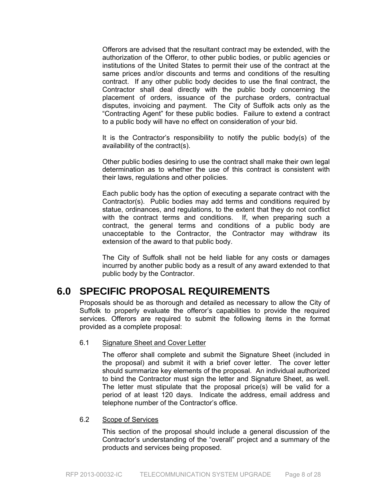Offerors are advised that the resultant contract may be extended, with the authorization of the Offeror, to other public bodies, or public agencies or institutions of the United States to permit their use of the contract at the same prices and/or discounts and terms and conditions of the resulting contract. If any other public body decides to use the final contract, the Contractor shall deal directly with the public body concerning the placement of orders, issuance of the purchase orders, contractual disputes, invoicing and payment. The City of Suffolk acts only as the "Contracting Agent" for these public bodies. Failure to extend a contract to a public body will have no effect on consideration of your bid.

 It is the Contractor's responsibility to notify the public body(s) of the availability of the contract(s).

 Other public bodies desiring to use the contract shall make their own legal determination as to whether the use of this contract is consistent with their laws, regulations and other policies.

 Each public body has the option of executing a separate contract with the Contractor(s). Public bodies may add terms and conditions required by statue, ordinances, and regulations, to the extent that they do not conflict with the contract terms and conditions. If, when preparing such a contract, the general terms and conditions of a public body are unacceptable to the Contractor, the Contractor may withdraw its extension of the award to that public body.

 The City of Suffolk shall not be held liable for any costs or damages incurred by another public body as a result of any award extended to that public body by the Contractor.

### **6.0 SPECIFIC PROPOSAL REQUIREMENTS**

Proposals should be as thorough and detailed as necessary to allow the City of Suffolk to properly evaluate the offeror's capabilities to provide the required services. Offerors are required to submit the following items in the format provided as a complete proposal:

6.1 Signature Sheet and Cover Letter

 The offeror shall complete and submit the Signature Sheet (included in the proposal) and submit it with a brief cover letter. The cover letter should summarize key elements of the proposal. An individual authorized to bind the Contractor must sign the letter and Signature Sheet, as well. The letter must stipulate that the proposal price(s) will be valid for a period of at least 120 days. Indicate the address, email address and telephone number of the Contractor's office.

#### 6.2 Scope of Services

 This section of the proposal should include a general discussion of the Contractor's understanding of the "overall" project and a summary of the products and services being proposed.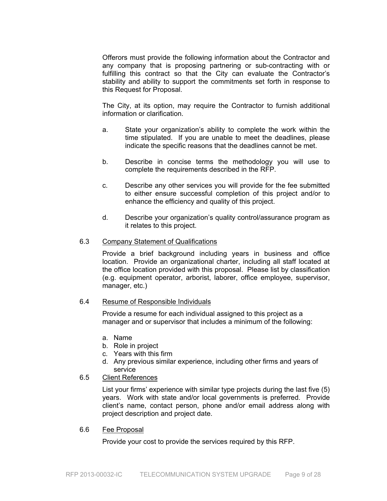Offerors must provide the following information about the Contractor and any company that is proposing partnering or sub-contracting with or fulfilling this contract so that the City can evaluate the Contractor's stability and ability to support the commitments set forth in response to this Request for Proposal.

 The City, at its option, may require the Contractor to furnish additional information or clarification.

- a. State your organization's ability to complete the work within the time stipulated. If you are unable to meet the deadlines, please indicate the specific reasons that the deadlines cannot be met.
- b. Describe in concise terms the methodology you will use to complete the requirements described in the RFP.
- c. Describe any other services you will provide for the fee submitted to either ensure successful completion of this project and/or to enhance the efficiency and quality of this project.
- d. Describe your organization's quality control/assurance program as it relates to this project.

#### 6.3 Company Statement of Qualifications

 Provide a brief background including years in business and office location. Provide an organizational charter, including all staff located at the office location provided with this proposal. Please list by classification (e.g. equipment operator, arborist, laborer, office employee, supervisor, manager, etc.)

#### 6.4 Resume of Responsible Individuals

Provide a resume for each individual assigned to this project as a manager and or supervisor that includes a minimum of the following:

- a. Name
- b. Role in project
- c. Years with this firm
- d. Any previous similar experience, including other firms and years of service

#### 6.5 Client References

 List your firms' experience with similar type projects during the last five (5) years. Work with state and/or local governments is preferred. Provide client's name, contact person, phone and/or email address along with project description and project date.

#### 6.6 Fee Proposal

Provide your cost to provide the services required by this RFP.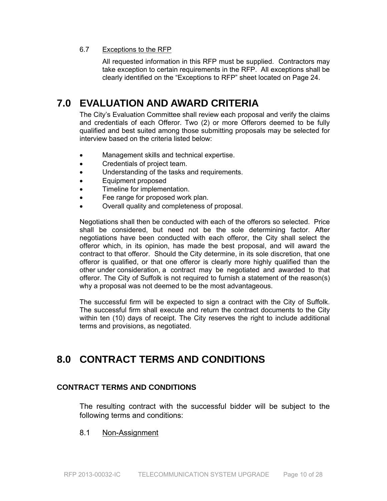#### 6.7 Exceptions to the RFP

All requested information in this RFP must be supplied. Contractors may take exception to certain requirements in the RFP. All exceptions shall be clearly identified on the "Exceptions to RFP" sheet located on Page 24.

## **7.0 EVALUATION AND AWARD CRITERIA**

The City's Evaluation Committee shall review each proposal and verify the claims and credentials of each Offeror. Two (2) or more Offerors deemed to be fully qualified and best suited among those submitting proposals may be selected for interview based on the criteria listed below:

- Management skills and technical expertise.
- Credentials of project team.
- Understanding of the tasks and requirements.
- Equipment proposed
- Timeline for implementation.
- Fee range for proposed work plan.
- Overall quality and completeness of proposal.

Negotiations shall then be conducted with each of the offerors so selected. Price shall be considered, but need not be the sole determining factor. After negotiations have been conducted with each offeror, the City shall select the offeror which, in its opinion, has made the best proposal, and will award the contract to that offeror. Should the City determine, in its sole discretion, that one offeror is qualified, or that one offeror is clearly more highly qualified than the other under consideration, a contract may be negotiated and awarded to that offeror. The City of Suffolk is not required to furnish a statement of the reason(s) why a proposal was not deemed to be the most advantageous.

The successful firm will be expected to sign a contract with the City of Suffolk. The successful firm shall execute and return the contract documents to the City within ten (10) days of receipt. The City reserves the right to include additional terms and provisions, as negotiated.

## **8.0 CONTRACT TERMS AND CONDITIONS**

#### **CONTRACT TERMS AND CONDITIONS**

The resulting contract with the successful bidder will be subject to the following terms and conditions:

#### 8.1 Non-Assignment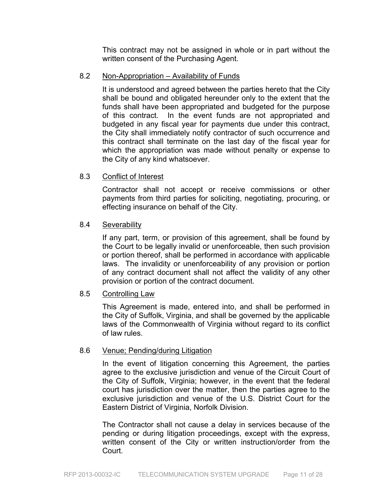This contract may not be assigned in whole or in part without the written consent of the Purchasing Agent.

#### 8.2 Non-Appropriation – Availability of Funds

It is understood and agreed between the parties hereto that the City shall be bound and obligated hereunder only to the extent that the funds shall have been appropriated and budgeted for the purpose of this contract. In the event funds are not appropriated and budgeted in any fiscal year for payments due under this contract, the City shall immediately notify contractor of such occurrence and this contract shall terminate on the last day of the fiscal year for which the appropriation was made without penalty or expense to the City of any kind whatsoever.

#### 8.3 Conflict of Interest

Contractor shall not accept or receive commissions or other payments from third parties for soliciting, negotiating, procuring, or effecting insurance on behalf of the City.

#### 8.4 Severability

If any part, term, or provision of this agreement, shall be found by the Court to be legally invalid or unenforceable, then such provision or portion thereof, shall be performed in accordance with applicable laws. The invalidity or unenforceability of any provision or portion of any contract document shall not affect the validity of any other provision or portion of the contract document.

#### 8.5 Controlling Law

This Agreement is made, entered into, and shall be performed in the City of Suffolk, Virginia, and shall be governed by the applicable laws of the Commonwealth of Virginia without regard to its conflict of law rules.

#### 8.6 Venue; Pending/during Litigation

In the event of litigation concerning this Agreement, the parties agree to the exclusive jurisdiction and venue of the Circuit Court of the City of Suffolk, Virginia; however, in the event that the federal court has jurisdiction over the matter, then the parties agree to the exclusive jurisdiction and venue of the U.S. District Court for the Eastern District of Virginia, Norfolk Division.

The Contractor shall not cause a delay in services because of the pending or during litigation proceedings, except with the express, written consent of the City or written instruction/order from the Court.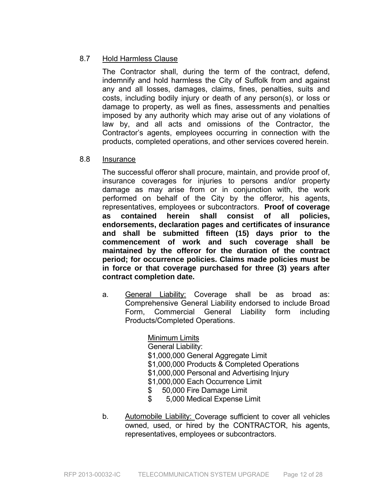### 8.7 Hold Harmless Clause

 The Contractor shall, during the term of the contract, defend, indemnify and hold harmless the City of Suffolk from and against any and all losses, damages, claims, fines, penalties, suits and costs, including bodily injury or death of any person(s), or loss or damage to property, as well as fines, assessments and penalties imposed by any authority which may arise out of any violations of law by, and all acts and omissions of the Contractor, the Contractor's agents, employees occurring in connection with the products, completed operations, and other services covered herein.

#### 8.8 Insurance

The successful offeror shall procure, maintain, and provide proof of, insurance coverages for injuries to persons and/or property damage as may arise from or in conjunction with, the work performed on behalf of the City by the offeror, his agents, representatives, employees or subcontractors. **Proof of coverage as contained herein shall consist of all policies, endorsements, declaration pages and certificates of insurance and shall be submitted fifteen (15) days prior to the commencement of work and such coverage shall be maintained by the offeror for the duration of the contract period; for occurrence policies. Claims made policies must be in force or that coverage purchased for three (3) years after contract completion date.** 

a. General Liability: Coverage shall be as broad as: Comprehensive General Liability endorsed to include Broad Form, Commercial General Liability form including Products/Completed Operations.

> Minimum Limits General Liability: \$1,000,000 General Aggregate Limit \$1,000,000 Products & Completed Operations \$1,000,000 Personal and Advertising Injury \$1,000,000 Each Occurrence Limit \$ 50,000 Fire Damage Limit

- \$ 5,000 Medical Expense Limit
- b. Automobile Liability: Coverage sufficient to cover all vehicles owned, used, or hired by the CONTRACTOR, his agents, representatives, employees or subcontractors.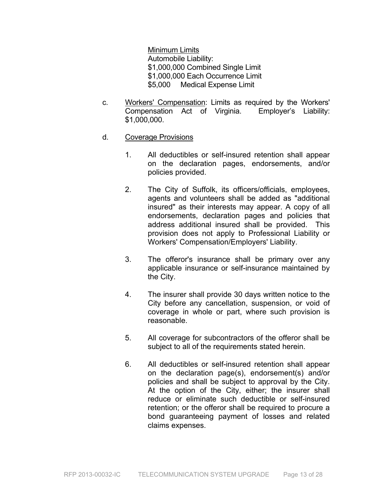Minimum Limits Automobile Liability: \$1,000,000 Combined Single Limit \$1,000,000 Each Occurrence Limit \$5,000 Medical Expense Limit

- c. Workers' Compensation: Limits as required by the Workers' Compensation Act of Virginia. Employer's Liability: \$1,000,000.
- d. Coverage Provisions
	- 1. All deductibles or self-insured retention shall appear on the declaration pages, endorsements, and/or policies provided.
	- 2. The City of Suffolk, its officers/officials, employees, agents and volunteers shall be added as "additional insured" as their interests may appear. A copy of all endorsements, declaration pages and policies that address additional insured shall be provided. This provision does not apply to Professional Liability or Workers' Compensation/Employers' Liability.
	- 3. The offeror's insurance shall be primary over any applicable insurance or self-insurance maintained by the City.
	- 4. The insurer shall provide 30 days written notice to the City before any cancellation, suspension, or void of coverage in whole or part, where such provision is reasonable.
	- 5. All coverage for subcontractors of the offeror shall be subject to all of the requirements stated herein.
	- 6. All deductibles or self-insured retention shall appear on the declaration page(s), endorsement(s) and/or policies and shall be subject to approval by the City. At the option of the City, either; the insurer shall reduce or eliminate such deductible or self-insured retention; or the offeror shall be required to procure a bond guaranteeing payment of losses and related claims expenses.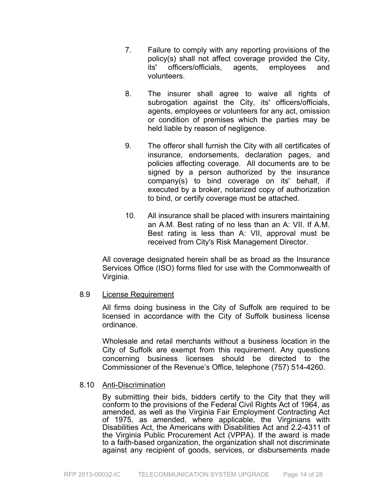- 7. Failure to comply with any reporting provisions of the policy(s) shall not affect coverage provided the City, its' officers/officials, agents, employees and volunteers.
- 8. The insurer shall agree to waive all rights of subrogation against the City, its' officers/officials, agents, employees or volunteers for any act, omission or condition of premises which the parties may be held liable by reason of negligence.
- 9. The offeror shall furnish the City with all certificates of insurance, endorsements, declaration pages, and policies affecting coverage. All documents are to be signed by a person authorized by the insurance company(s) to bind coverage on its' behalf, if executed by a broker, notarized copy of authorization to bind, or certify coverage must be attached.
- 10. All insurance shall be placed with insurers maintaining an A.M. Best rating of no less than an A: VII. If A.M. Best rating is less than A: VII, approval must be received from City's Risk Management Director.

All coverage designated herein shall be as broad as the Insurance Services Office (ISO) forms filed for use with the Commonwealth of Virginia.

#### 8.9 License Requirement

All firms doing business in the City of Suffolk are required to be licensed in accordance with the City of Suffolk business license ordinance.

Wholesale and retail merchants without a business location in the City of Suffolk are exempt from this requirement. Any questions concerning business licenses should be directed to the Commissioner of the Revenue's Office, telephone (757) 514-4260.

#### 8.10 Anti-Discrimination

 By submitting their bids, bidders certify to the City that they will conform to the provisions of the Federal Civil Rights Act of 1964, as amended, as well as the Virginia Fair Employment Contracting Act of 1975, as amended, where applicable, the Virginians with Disabilities Act, the Americans with Disabilities Act and 2.2-4311 of the Virginia Public Procurement Act (VPPA). If the award is made to a faith-based organization, the organization shall not discriminate against any recipient of goods, services, or disbursements made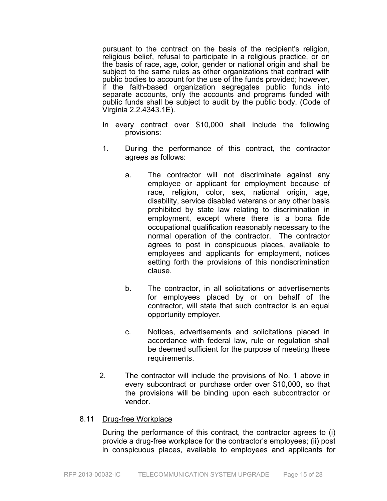pursuant to the contract on the basis of the recipient's religion, religious belief, refusal to participate in a religious practice, or on the basis of race, age, color, gender or national origin and shall be subject to the same rules as other organizations that contract with public bodies to account for the use of the funds provided; however, if the faith-based organization segregates public funds into separate accounts, only the accounts and programs funded with public funds shall be subject to audit by the public body. (Code of Virginia 2.2.4343.1E).

- In every contract over \$10,000 shall include the following provisions:
- 1. During the performance of this contract, the contractor agrees as follows:
	- a. The contractor will not discriminate against any employee or applicant for employment because of race, religion, color, sex, national origin, age, disability, service disabled veterans or any other basis prohibited by state law relating to discrimination in employment, except where there is a bona fide occupational qualification reasonably necessary to the normal operation of the contractor. The contractor agrees to post in conspicuous places, available to employees and applicants for employment, notices setting forth the provisions of this nondiscrimination clause.
	- b. The contractor, in all solicitations or advertisements for employees placed by or on behalf of the contractor, will state that such contractor is an equal opportunity employer.
	- c. Notices, advertisements and solicitations placed in accordance with federal law, rule or regulation shall be deemed sufficient for the purpose of meeting these requirements.
- 2. The contractor will include the provisions of No. 1 above in every subcontract or purchase order over \$10,000, so that the provisions will be binding upon each subcontractor or vendor.

#### 8.11 Drug-free Workplace

During the performance of this contract, the contractor agrees to (i) provide a drug-free workplace for the contractor's employees; (ii) post in conspicuous places, available to employees and applicants for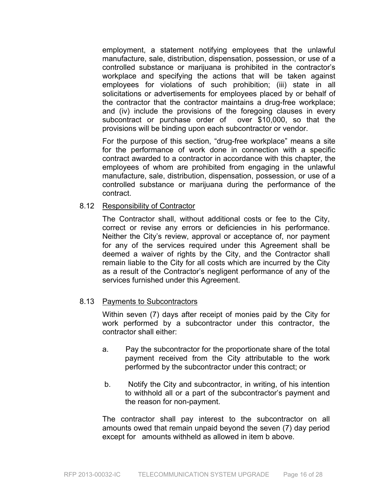employment, a statement notifying employees that the unlawful manufacture, sale, distribution, dispensation, possession, or use of a controlled substance or marijuana is prohibited in the contractor's workplace and specifying the actions that will be taken against employees for violations of such prohibition; (iii) state in all solicitations or advertisements for employees placed by or behalf of the contractor that the contractor maintains a drug-free workplace; and (iv) include the provisions of the foregoing clauses in every subcontract or purchase order of over \$10,000, so that the provisions will be binding upon each subcontractor or vendor.

For the purpose of this section, "drug-free workplace" means a site for the performance of work done in connection with a specific contract awarded to a contractor in accordance with this chapter, the employees of whom are prohibited from engaging in the unlawful manufacture, sale, distribution, dispensation, possession, or use of a controlled substance or marijuana during the performance of the contract.

#### 8.12 Responsibility of Contractor

The Contractor shall, without additional costs or fee to the City, correct or revise any errors or deficiencies in his performance. Neither the City's review, approval or acceptance of, nor payment for any of the services required under this Agreement shall be deemed a waiver of rights by the City, and the Contractor shall remain liable to the City for all costs which are incurred by the City as a result of the Contractor's negligent performance of any of the services furnished under this Agreement.

#### 8.13 Payments to Subcontractors

Within seven (7) days after receipt of monies paid by the City for work performed by a subcontractor under this contractor, the contractor shall either:

- a. Pay the subcontractor for the proportionate share of the total payment received from the City attributable to the work performed by the subcontractor under this contract; or
- b. Notify the City and subcontractor, in writing, of his intention to withhold all or a part of the subcontractor's payment and the reason for non-payment.

The contractor shall pay interest to the subcontractor on all amounts owed that remain unpaid beyond the seven (7) day period except for amounts withheld as allowed in item b above.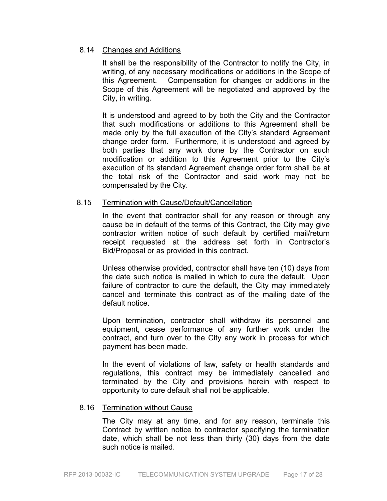#### 8.14 Changes and Additions

It shall be the responsibility of the Contractor to notify the City, in writing, of any necessary modifications or additions in the Scope of this Agreement. Compensation for changes or additions in the Scope of this Agreement will be negotiated and approved by the City, in writing.

It is understood and agreed to by both the City and the Contractor that such modifications or additions to this Agreement shall be made only by the full execution of the City's standard Agreement change order form. Furthermore, it is understood and agreed by both parties that any work done by the Contractor on such modification or addition to this Agreement prior to the City's execution of its standard Agreement change order form shall be at the total risk of the Contractor and said work may not be compensated by the City.

#### 8.15 Termination with Cause/Default/Cancellation

In the event that contractor shall for any reason or through any cause be in default of the terms of this Contract, the City may give contractor written notice of such default by certified mail/return receipt requested at the address set forth in Contractor's Bid/Proposal or as provided in this contract.

Unless otherwise provided, contractor shall have ten (10) days from the date such notice is mailed in which to cure the default. Upon failure of contractor to cure the default, the City may immediately cancel and terminate this contract as of the mailing date of the default notice.

Upon termination, contractor shall withdraw its personnel and equipment, cease performance of any further work under the contract, and turn over to the City any work in process for which payment has been made.

In the event of violations of law, safety or health standards and regulations, this contract may be immediately cancelled and terminated by the City and provisions herein with respect to opportunity to cure default shall not be applicable.

#### 8.16 Termination without Cause

The City may at any time, and for any reason, terminate this Contract by written notice to contractor specifying the termination date, which shall be not less than thirty (30) days from the date such notice is mailed.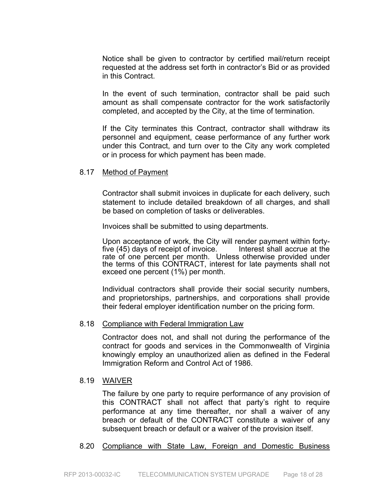Notice shall be given to contractor by certified mail/return receipt requested at the address set forth in contractor's Bid or as provided in this Contract.

In the event of such termination, contractor shall be paid such amount as shall compensate contractor for the work satisfactorily completed, and accepted by the City, at the time of termination.

If the City terminates this Contract, contractor shall withdraw its personnel and equipment, cease performance of any further work under this Contract, and turn over to the City any work completed or in process for which payment has been made.

#### 8.17 Method of Payment

Contractor shall submit invoices in duplicate for each delivery, such statement to include detailed breakdown of all charges, and shall be based on completion of tasks or deliverables.

Invoices shall be submitted to using departments.

Upon acceptance of work, the City will render payment within forty-<br>five (45) days of receipt of invoice. Interest shall accrue at the five  $(45)$  days of receipt of invoice. rate of one percent per month. Unless otherwise provided under the terms of this CONTRACT, interest for late payments shall not exceed one percent (1%) per month.

Individual contractors shall provide their social security numbers, and proprietorships, partnerships, and corporations shall provide their federal employer identification number on the pricing form.

#### 8.18 Compliance with Federal Immigration Law

Contractor does not, and shall not during the performance of the contract for goods and services in the Commonwealth of Virginia knowingly employ an unauthorized alien as defined in the Federal Immigration Reform and Control Act of 1986.

#### 8.19 WAIVER

The failure by one party to require performance of any provision of this CONTRACT shall not affect that party's right to require performance at any time thereafter, nor shall a waiver of any breach or default of the CONTRACT constitute a waiver of any subsequent breach or default or a waiver of the provision itself.

#### 8.20 Compliance with State Law, Foreign and Domestic Business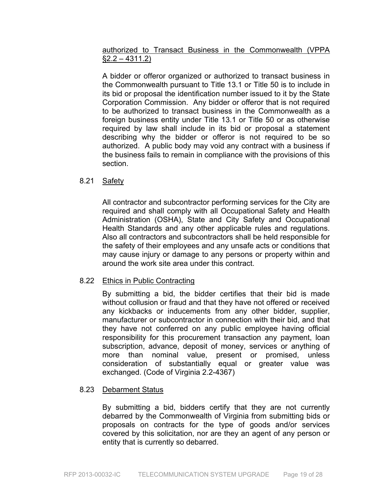### authorized to Transact Business in the Commonwealth (VPPA  $§2.2 - 4311.2)$

A bidder or offeror organized or authorized to transact business in the Commonwealth pursuant to Title 13.1 or Title 50 is to include in its bid or proposal the identification number issued to it by the State Corporation Commission. Any bidder or offeror that is not required to be authorized to transact business in the Commonwealth as a foreign business entity under Title 13.1 or Title 50 or as otherwise required by law shall include in its bid or proposal a statement describing why the bidder or offeror is not required to be so authorized. A public body may void any contract with a business if the business fails to remain in compliance with the provisions of this section.

#### 8.21 Safety

All contractor and subcontractor performing services for the City are required and shall comply with all Occupational Safety and Health Administration (OSHA), State and City Safety and Occupational Health Standards and any other applicable rules and regulations. Also all contractors and subcontractors shall be held responsible for the safety of their employees and any unsafe acts or conditions that may cause injury or damage to any persons or property within and around the work site area under this contract.

#### 8.22 Ethics in Public Contracting

By submitting a bid, the bidder certifies that their bid is made without collusion or fraud and that they have not offered or received any kickbacks or inducements from any other bidder, supplier, manufacturer or subcontractor in connection with their bid, and that they have not conferred on any public employee having official responsibility for this procurement transaction any payment, loan subscription, advance, deposit of money, services or anything of more than nominal value, present or promised, unless consideration of substantially equal or greater value was exchanged. (Code of Virginia 2.2-4367)

#### 8.23 Debarment Status

By submitting a bid, bidders certify that they are not currently debarred by the Commonwealth of Virginia from submitting bids or proposals on contracts for the type of goods and/or services covered by this solicitation, nor are they an agent of any person or entity that is currently so debarred.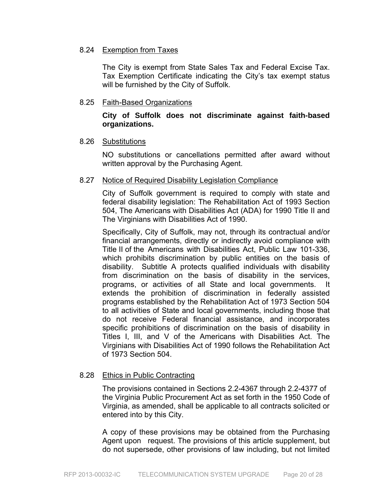#### 8.24 Exemption from Taxes

The City is exempt from State Sales Tax and Federal Excise Tax. Tax Exemption Certificate indicating the City's tax exempt status will be furnished by the City of Suffolk.

#### 8.25 Faith-Based Organizations

#### **City of Suffolk does not discriminate against faith-based organizations.**

#### 8.26 Substitutions

NO substitutions or cancellations permitted after award without written approval by the Purchasing Agent.

#### 8.27 Notice of Required Disability Legislation Compliance

City of Suffolk government is required to comply with state and federal disability legislation: The Rehabilitation Act of 1993 Section 504, The Americans with Disabilities Act (ADA) for 1990 Title II and The Virginians with Disabilities Act of 1990.

Specifically, City of Suffolk, may not, through its contractual and/or financial arrangements, directly or indirectly avoid compliance with Title II of the Americans with Disabilities Act, Public Law 101-336, which prohibits discrimination by public entities on the basis of disability. Subtitle A protects qualified individuals with disability from discrimination on the basis of disability in the services, programs, or activities of all State and local governments. It extends the prohibition of discrimination in federally assisted programs established by the Rehabilitation Act of 1973 Section 504 to all activities of State and local governments, including those that do not receive Federal financial assistance, and incorporates specific prohibitions of discrimination on the basis of disability in Titles I, III, and V of the Americans with Disabilities Act. The Virginians with Disabilities Act of 1990 follows the Rehabilitation Act of 1973 Section 504.

#### 8.28 Ethics in Public Contracting

The provisions contained in Sections 2.2-4367 through 2.2-4377 of the Virginia Public Procurement Act as set forth in the 1950 Code of Virginia, as amended, shall be applicable to all contracts solicited or entered into by this City.

A copy of these provisions may be obtained from the Purchasing Agent upon request. The provisions of this article supplement, but do not supersede, other provisions of law including, but not limited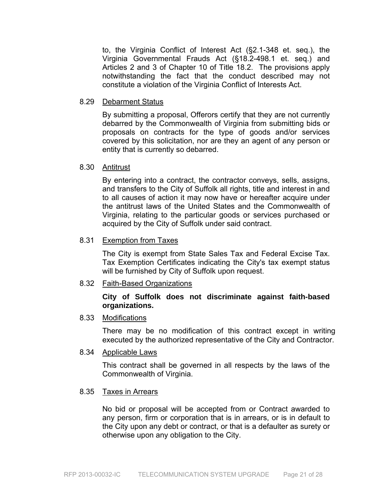to, the Virginia Conflict of Interest Act (§2.1-348 et. seq.), the Virginia Governmental Frauds Act (§18.2-498.1 et. seq.) and Articles 2 and 3 of Chapter 10 of Title 18.2. The provisions apply notwithstanding the fact that the conduct described may not constitute a violation of the Virginia Conflict of Interests Act.

#### 8.29 Debarment Status

By submitting a proposal, Offerors certify that they are not currently debarred by the Commonwealth of Virginia from submitting bids or proposals on contracts for the type of goods and/or services covered by this solicitation, nor are they an agent of any person or entity that is currently so debarred.

#### 8.30 Antitrust

By entering into a contract, the contractor conveys, sells, assigns, and transfers to the City of Suffolk all rights, title and interest in and to all causes of action it may now have or hereafter acquire under the antitrust laws of the United States and the Commonwealth of Virginia, relating to the particular goods or services purchased or acquired by the City of Suffolk under said contract.

#### 8.31 Exemption from Taxes

 The City is exempt from State Sales Tax and Federal Excise Tax. Tax Exemption Certificates indicating the City's tax exempt status will be furnished by City of Suffolk upon request.

#### 8.32 Faith-Based Organizations

#### **City of Suffolk does not discriminate against faith-based organizations.**

#### 8.33 Modifications

There may be no modification of this contract except in writing executed by the authorized representative of the City and Contractor.

8.34 Applicable Laws

This contract shall be governed in all respects by the laws of the Commonwealth of Virginia.

#### 8.35 Taxes in Arrears

No bid or proposal will be accepted from or Contract awarded to any person, firm or corporation that is in arrears, or is in default to the City upon any debt or contract, or that is a defaulter as surety or otherwise upon any obligation to the City.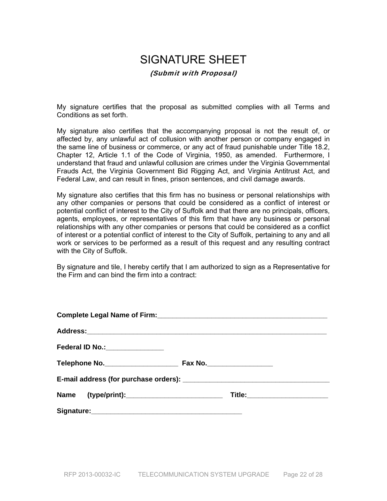# SIGNATURE SHEET

#### (Submit with Proposal)

My signature certifies that the proposal as submitted complies with all Terms and Conditions as set forth.

My signature also certifies that the accompanying proposal is not the result of, or affected by, any unlawful act of collusion with another person or company engaged in the same line of business or commerce, or any act of fraud punishable under Title 18.2, Chapter 12, Article 1.1 of the Code of Virginia, 1950, as amended. Furthermore, I understand that fraud and unlawful collusion are crimes under the Virginia Governmental Frauds Act, the Virginia Government Bid Rigging Act, and Virginia Antitrust Act, and Federal Law, and can result in fines, prison sentences, and civil damage awards.

My signature also certifies that this firm has no business or personal relationships with any other companies or persons that could be considered as a conflict of interest or potential conflict of interest to the City of Suffolk and that there are no principals, officers, agents, employees, or representatives of this firm that have any business or personal relationships with any other companies or persons that could be considered as a conflict of interest or a potential conflict of interest to the City of Suffolk, pertaining to any and all work or services to be performed as a result of this request and any resulting contract with the City of Suffolk.

By signature and tile, I hereby certify that I am authorized to sign as a Representative for the Firm and can bind the firm into a contract:

| Federal ID No.: ________________ |                               |
|----------------------------------|-------------------------------|
|                                  |                               |
|                                  |                               |
|                                  | Title:_______________________ |
|                                  |                               |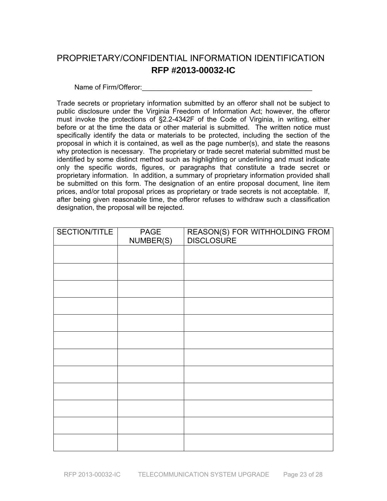## PROPRIETARY/CONFIDENTIAL INFORMATION IDENTIFICATION **RFP #2013-00032-IC**

Name of Firm/Offeror:

Trade secrets or proprietary information submitted by an offeror shall not be subject to public disclosure under the Virginia Freedom of Information Act; however, the offeror must invoke the protections of §2.2-4342F of the Code of Virginia, in writing, either before or at the time the data or other material is submitted. The written notice must specifically identify the data or materials to be protected, including the section of the proposal in which it is contained, as well as the page number(s), and state the reasons why protection is necessary. The proprietary or trade secret material submitted must be identified by some distinct method such as highlighting or underlining and must indicate only the specific words, figures, or paragraphs that constitute a trade secret or proprietary information. In addition, a summary of proprietary information provided shall be submitted on this form. The designation of an entire proposal document, line item prices, and/or total proposal prices as proprietary or trade secrets is not acceptable. If, after being given reasonable time, the offeror refuses to withdraw such a classification designation, the proposal will be rejected.

| SECTION/TITLE | PAGE<br>NUMBER(S) | REASON(S) FOR WITHHOLDING FROM<br>DISCLOSURE |
|---------------|-------------------|----------------------------------------------|
|               |                   |                                              |
|               |                   |                                              |
|               |                   |                                              |
|               |                   |                                              |
|               |                   |                                              |
|               |                   |                                              |
|               |                   |                                              |
|               |                   |                                              |
|               |                   |                                              |
|               |                   |                                              |
|               |                   |                                              |
|               |                   |                                              |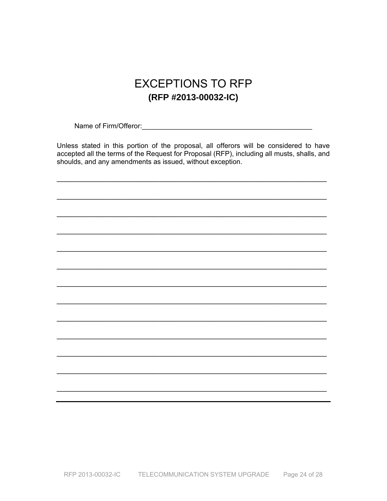# **EXCEPTIONS TO RFP** (RFP #2013-00032-IC)

Name of Firm/Offeror: Manual Account Account of Firm/Offeror:

Unless stated in this portion of the proposal, all offerors will be considered to have accepted all the terms of the Request for Proposal (RFP), including all musts, shalls, and shoulds, and any amendments as issued, without exception.

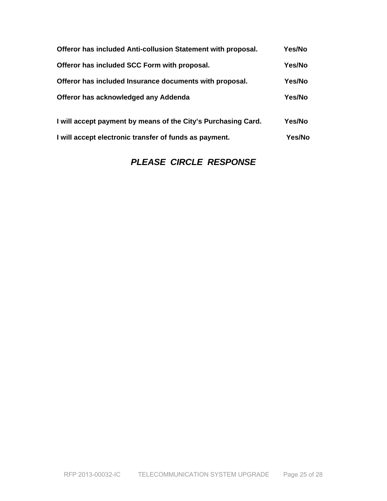| Offeror has included Anti-collusion Statement with proposal.  | Yes/No |
|---------------------------------------------------------------|--------|
| Offeror has included SCC Form with proposal.                  | Yes/No |
| Offeror has included Insurance documents with proposal.       | Yes/No |
| Offeror has acknowledged any Addenda                          | Yes/No |
| I will accept payment by means of the City's Purchasing Card. | Yes/No |
| I will accept electronic transfer of funds as payment.        | Yes/No |

### *PLEASE CIRCLE RESPONSE*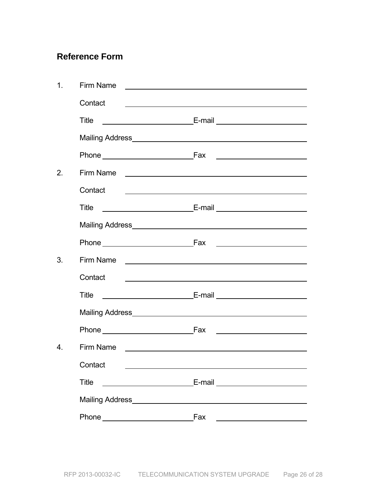## **Reference Form**

| 1.               | Firm Name                                                         |                                                                                                                       |
|------------------|-------------------------------------------------------------------|-----------------------------------------------------------------------------------------------------------------------|
|                  | Contact                                                           | <u> 1989 - Johann John Stone, markin fan de Amerikaansk kommunent fan de Amerikaansk kommunent fan de Amerikaans</u>  |
|                  | Title                                                             |                                                                                                                       |
|                  |                                                                   |                                                                                                                       |
|                  |                                                                   |                                                                                                                       |
| 2.               |                                                                   | Firm Name <u>experience</u>                                                                                           |
|                  | Contact                                                           | the contract of the contract of the contract of the contract of the contract of the contract of                       |
|                  | Title                                                             |                                                                                                                       |
|                  |                                                                   |                                                                                                                       |
|                  |                                                                   |                                                                                                                       |
| 3.               |                                                                   |                                                                                                                       |
|                  | Contact                                                           | <u> 1980 - Johann Stein, marwolaethau a bhann an t-Amhainn an t-Amhainn an t-Amhainn an t-Amhainn an t-Amhainn an</u> |
|                  | Title                                                             |                                                                                                                       |
|                  |                                                                   |                                                                                                                       |
|                  | Phone Fax                                                         |                                                                                                                       |
| $\overline{4}$ . |                                                                   |                                                                                                                       |
|                  | Contact __                                                        |                                                                                                                       |
|                  | <b>Title</b><br><u> 1980 - Johann Barnett, fransk politiker (</u> | E-mail __________________________                                                                                     |
|                  | Mailing Address Management and the Mailing Address                |                                                                                                                       |
|                  |                                                                   | Fax                                                                                                                   |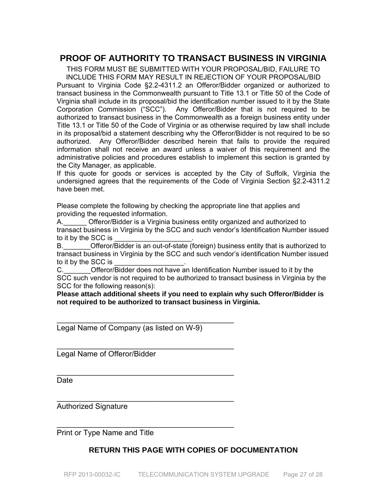### **PROOF OF AUTHORITY TO TRANSACT BUSINESS IN VIRGINIA**

THIS FORM MUST BE SUBMITTED WITH YOUR PROPOSAL/BID, FAILURE TO INCLUDE THIS FORM MAY RESULT IN REJECTION OF YOUR PROPOSAL/BID Pursuant to Virginia Code §2.2-4311.2 an Offeror/Bidder organized or authorized to transact business in the Commonwealth pursuant to Title 13.1 or Title 50 of the Code of Virginia shall include in its proposal/bid the identification number issued to it by the State Corporation Commission ("SCC"). Any Offeror/Bidder that is not required to be authorized to transact business in the Commonwealth as a foreign business entity under Title 13.1 or Title 50 of the Code of Virginia or as otherwise required by law shall include in its proposal/bid a statement describing why the Offeror/Bidder is not required to be so authorized. Any Offeror/Bidder described herein that fails to provide the required information shall not receive an award unless a waiver of this requirement and the administrative policies and procedures establish to implement this section is granted by the City Manager, as applicable.

If this quote for goods or services is accepted by the City of Suffolk, Virginia the undersigned agrees that the requirements of the Code of Virginia Section §2.2-4311.2 have been met.

Please complete the following by checking the appropriate line that applies and providing the requested information.

A. Cfferor/Bidder is a Virginia business entity organized and authorized to transact business in Virginia by the SCC and such vendor's Identification Number issued to it by the SCC is

B.\_\_\_\_\_\_\_Offeror/Bidder is an out-of-state (foreign) business entity that is authorized to transact business in Virginia by the SCC and such vendor's identification Number issued to it by the SCC is

C. C. Circle Offeror/Bidder does not have an Identification Number issued to it by the SCC such vendor is not required to be authorized to transact business in Virginia by the SCC for the following reason(s):

**Please attach additional sheets if you need to explain why such Offeror/Bidder is not required to be authorized to transact business in Virginia.** 

Legal Name of Company (as listed on W-9)

\_\_\_\_\_\_\_\_\_\_\_\_\_\_\_\_\_\_\_\_\_\_\_\_\_\_\_\_\_\_\_\_\_\_\_\_\_\_\_\_\_\_

 $\mathcal{L}_\text{max}$  , we can also assume that the contract of  $\mathcal{L}_\text{max}$ 

\_\_\_\_\_\_\_\_\_\_\_\_\_\_\_\_\_\_\_\_\_\_\_\_\_\_\_\_\_\_\_\_\_\_\_\_\_\_\_\_\_\_

 $\mathcal{L}_\text{max}$  , we can also assume that the contract of  $\mathcal{L}_\text{max}$ 

 $\mathcal{L}_\text{max}$  , we can also assume that the contract of  $\mathcal{L}_\text{max}$ 

Legal Name of Offeror/Bidder

**Date** 

Authorized Signature

Print or Type Name and Title

### **RETURN THIS PAGE WITH COPIES OF DOCUMENTATION**